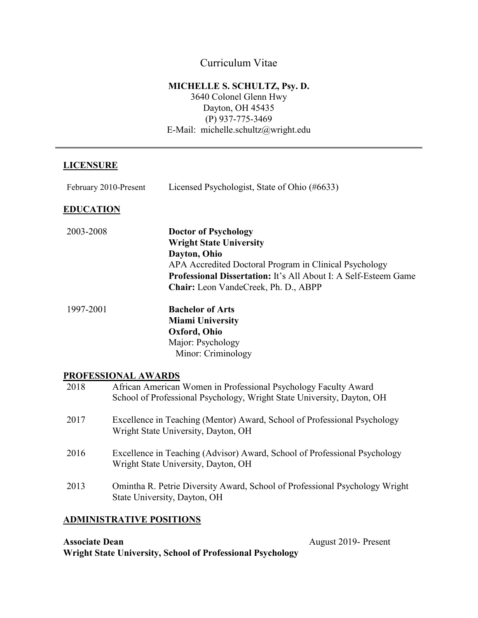# Curriculum Vitae

## **MICHELLE S. SCHULTZ, Psy. D.**

3640 Colonel Glenn Hwy Dayton, OH 45435 (P) 937-775-3469 E-Mail: michelle.schultz@wright.edu

# **LICENSURE**

| February 2010-Present |                                                                                                                                           | Licensed Psychologist, State of Ohio (#6633)                                                                                                                                                                                                       |
|-----------------------|-------------------------------------------------------------------------------------------------------------------------------------------|----------------------------------------------------------------------------------------------------------------------------------------------------------------------------------------------------------------------------------------------------|
| <u>EDUCATION</u>      |                                                                                                                                           |                                                                                                                                                                                                                                                    |
| 2003-2008             |                                                                                                                                           | <b>Doctor of Psychology</b><br><b>Wright State University</b><br>Dayton, Ohio<br>APA Accredited Doctoral Program in Clinical Psychology<br>Professional Dissertation: It's All About I: A Self-Esteem Game<br>Chair: Leon VandeCreek, Ph. D., ABPP |
| 1997-2001             |                                                                                                                                           | <b>Bachelor of Arts</b><br><b>Miami University</b><br>Oxford, Ohio<br>Major: Psychology<br>Minor: Criminology                                                                                                                                      |
|                       | PROFESSIONAL AWARDS                                                                                                                       |                                                                                                                                                                                                                                                    |
| 2018                  | African American Women in Professional Psychology Faculty Award<br>School of Professional Psychology, Wright State University, Dayton, OH |                                                                                                                                                                                                                                                    |
| 2017                  |                                                                                                                                           | Excellence in Teaching (Mentor) Award, School of Professional Psychology<br>Wright State University, Dayton, OH                                                                                                                                    |

- 2016 Excellence in Teaching (Advisor) Award, School of Professional Psychology Wright State University, Dayton, OH
- 2013 Omintha R. Petrie Diversity Award, School of Professional Psychology Wright State University, Dayton, OH

# **ADMINISTRATIVE POSITIONS**

**Associate Dean** August 2019- Present **Wright State University, School of Professional Psychology**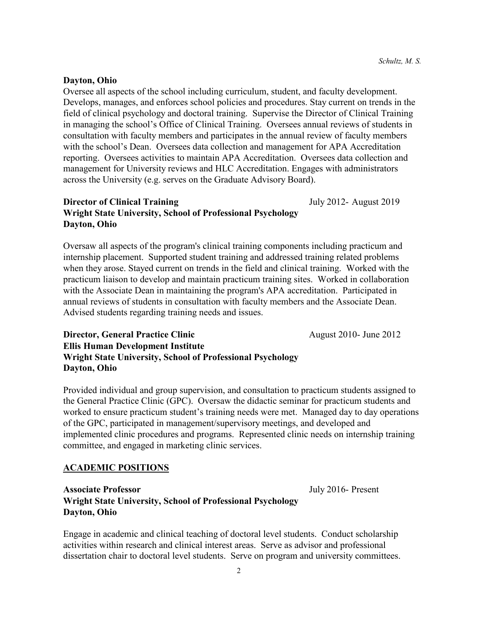**Dayton, Ohio**

Oversee all aspects of the school including curriculum, student, and faculty development. Develops, manages, and enforces school policies and procedures. Stay current on trends in the field of clinical psychology and doctoral training. Supervise the Director of Clinical Training in managing the school's Office of Clinical Training. Oversees annual reviews of students in consultation with faculty members and participates in the annual review of faculty members with the school's Dean. Oversees data collection and management for APA Accreditation reporting. Oversees activities to maintain APA Accreditation. Oversees data collection and management for University reviews and HLC Accreditation. Engages with administrators across the University (e.g. serves on the Graduate Advisory Board).

# **Director of Clinical Training** The State of Sulvey 2012- August 2019 **Wright State University, School of Professional Psychology Dayton, Ohio**

Oversaw all aspects of the program's clinical training components including practicum and internship placement. Supported student training and addressed training related problems when they arose. Stayed current on trends in the field and clinical training. Worked with the practicum liaison to develop and maintain practicum training sites. Worked in collaboration with the Associate Dean in maintaining the program's APA accreditation. Participated in annual reviews of students in consultation with faculty members and the Associate Dean. Advised students regarding training needs and issues.

# **Director, General Practice Clinic** August 2010- June 2012 **Ellis Human Development Institute Wright State University, School of Professional Psychology Dayton, Ohio**

Provided individual and group supervision, and consultation to practicum students assigned to the General Practice Clinic (GPC). Oversaw the didactic seminar for practicum students and worked to ensure practicum student's training needs were met. Managed day to day operations of the GPC, participated in management/supervisory meetings, and developed and implemented clinic procedures and programs. Represented clinic needs on internship training committee, and engaged in marketing clinic services.

# **ACADEMIC POSITIONS**

**Associate Professor** July 2016- Present **Wright State University, School of Professional Psychology Dayton, Ohio**

Engage in academic and clinical teaching of doctoral level students. Conduct scholarship activities within research and clinical interest areas. Serve as advisor and professional dissertation chair to doctoral level students. Serve on program and university committees.

2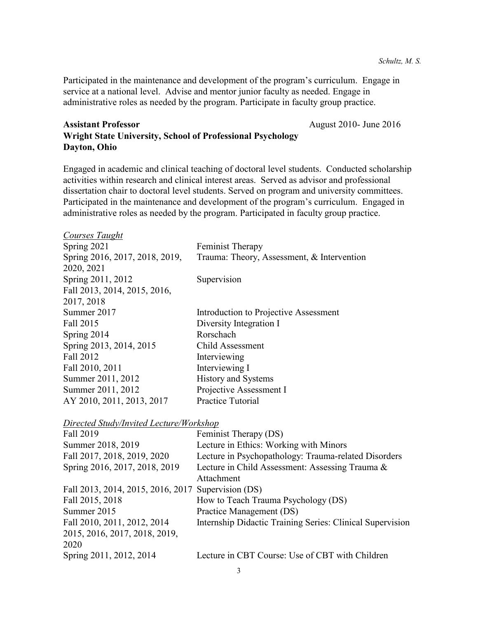Participated in the maintenance and development of the program's curriculum. Engage in service at a national level. Advise and mentor junior faculty as needed. Engage in administrative roles as needed by the program. Participate in faculty group practice.

# Assistant Professor<br>
August 2010- June 2016 **Wright State University, School of Professional Psychology Dayton, Ohio**

Engaged in academic and clinical teaching of doctoral level students. Conducted scholarship activities within research and clinical interest areas. Served as advisor and professional dissertation chair to doctoral level students. Served on program and university committees. Participated in the maintenance and development of the program's curriculum. Engaged in administrative roles as needed by the program. Participated in faculty group practice.

| <b>Courses Taught</b>                              |                                                               |
|----------------------------------------------------|---------------------------------------------------------------|
| Spring 2021                                        | Feminist Therapy                                              |
| Spring 2016, 2017, 2018, 2019,<br>2020, 2021       | Trauma: Theory, Assessment, & Intervention                    |
| Spring 2011, 2012                                  | Supervision                                                   |
| Fall 2013, 2014, 2015, 2016,                       |                                                               |
| 2017, 2018                                         |                                                               |
| Summer 2017                                        | Introduction to Projective Assessment                         |
| Fall 2015                                          | Diversity Integration I                                       |
| Spring 2014                                        | Rorschach                                                     |
| Spring 2013, 2014, 2015                            | Child Assessment                                              |
| Fall 2012                                          | Interviewing                                                  |
| Fall 2010, 2011                                    | Interviewing I                                                |
| Summer 2011, 2012                                  | <b>History and Systems</b>                                    |
| Summer 2011, 2012                                  | Projective Assessment I                                       |
| AY 2010, 2011, 2013, 2017                          | <b>Practice Tutorial</b>                                      |
| <b>Directed Study/Invited Lecture/Workshop</b>     |                                                               |
| Fall 2019                                          | Feminist Therapy (DS)                                         |
| Summer 2018, 2019                                  | Lecture in Ethics: Working with Minors                        |
| Fall 2017, 2018, 2019, 2020                        | Lecture in Psychopathology: Trauma-related Disorders          |
| Spring 2016, 2017, 2018, 2019                      | Lecture in Child Assessment: Assessing Trauma &<br>Attachment |
| Fall 2013, 2014, 2015, 2016, 2017 Supervision (DS) |                                                               |
| Fall 2015, 2018                                    | How to Teach Trauma Psychology (DS)                           |
| Summer 2015                                        | Practice Management (DS)                                      |
| Fall 2010, 2011, 2012, 2014                        | Internship Didactic Training Series: Clinical Supervision     |
| 2015, 2016, 2017, 2018, 2019,<br>2020              |                                                               |
| Spring 2011, 2012, 2014                            | Lecture in CBT Course: Use of CBT with Children               |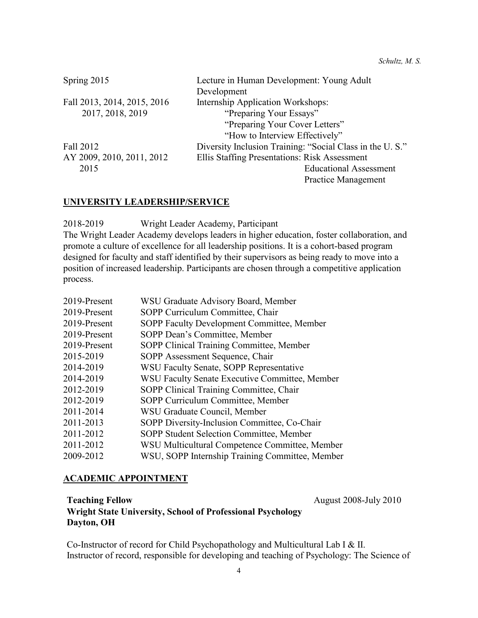| Spring 2015                 | Lecture in Human Development: Young Adult                |
|-----------------------------|----------------------------------------------------------|
|                             | Development                                              |
| Fall 2013, 2014, 2015, 2016 | Internship Application Workshops:                        |
| 2017, 2018, 2019            | "Preparing Your Essays"                                  |
|                             | "Preparing Your Cover Letters"                           |
|                             | "How to Interview Effectively"                           |
| Fall 2012                   | Diversity Inclusion Training: "Social Class in the U.S." |
| AY 2009, 2010, 2011, 2012   | Ellis Staffing Presentations: Risk Assessment            |
| 2015                        | <b>Educational Assessment</b>                            |
|                             | Practice Management                                      |

### **UNIVERSITY LEADERSHIP/SERVICE**

2018-2019 Wright Leader Academy, Participant

The Wright Leader Academy develops leaders in higher education, foster collaboration, and promote a culture of excellence for all leadership positions. It is a cohort-based program designed for faculty and staff identified by their supervisors as being ready to move into a position of increased leadership. Participants are chosen through a competitive application process.

| 2019-Present | WSU Graduate Advisory Board, Member             |
|--------------|-------------------------------------------------|
| 2019-Present | SOPP Curriculum Committee, Chair                |
| 2019-Present | SOPP Faculty Development Committee, Member      |
| 2019-Present | SOPP Dean's Committee, Member                   |
| 2019-Present | SOPP Clinical Training Committee, Member        |
| 2015-2019    | SOPP Assessment Sequence, Chair                 |
| 2014-2019    | WSU Faculty Senate, SOPP Representative         |
| 2014-2019    | WSU Faculty Senate Executive Committee, Member  |
| 2012-2019    | SOPP Clinical Training Committee, Chair         |
| 2012-2019    | SOPP Curriculum Committee, Member               |
| 2011-2014    | WSU Graduate Council, Member                    |
| 2011-2013    | SOPP Diversity-Inclusion Committee, Co-Chair    |
| 2011-2012    | SOPP Student Selection Committee, Member        |
| 2011-2012    | WSU Multicultural Competence Committee, Member  |
| 2009-2012    | WSU, SOPP Internship Training Committee, Member |

### **ACADEMIC APPOINTMENT**

**Teaching Fellow** August 2008-July 2010 **Wright State University, School of Professional Psychology Dayton, OH**

Co-Instructor of record for Child Psychopathology and Multicultural Lab I & II. Instructor of record, responsible for developing and teaching of Psychology: The Science of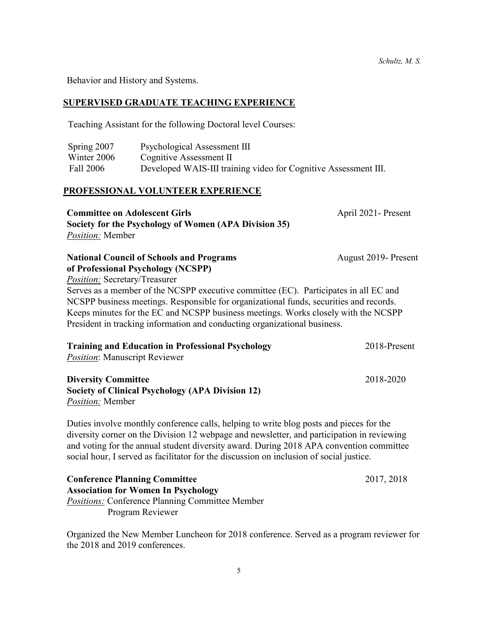Behavior and History and Systems.

### **SUPERVISED GRADUATE TEACHING EXPERIENCE**

Teaching Assistant for the following Doctoral level Courses:

| Spring 2007 | Psychological Assessment III                                    |
|-------------|-----------------------------------------------------------------|
| Winter 2006 | Cognitive Assessment II                                         |
| Fall 2006   | Developed WAIS-III training video for Cognitive Assessment III. |

#### **PROFESSIONAL VOLUNTEER EXPERIENCE**

| <b>Committee on Adolescent Girls</b>                                                   | April 2021 - Present |
|----------------------------------------------------------------------------------------|----------------------|
| Society for the Psychology of Women (APA Division 35)                                  |                      |
| Position: Member                                                                       |                      |
| <b>National Council of Schools and Programs</b>                                        | August 2019- Present |
| of Professional Psychology (NCSPP)                                                     |                      |
| <i>Position:</i> Secretary/Treasurer                                                   |                      |
| Serves as a member of the NCSPP executive committee (EC). Participates in all EC and   |                      |
| NCSPP business meetings. Responsible for organizational funds, securities and records. |                      |
| Keeps minutes for the EC and NCSPP business meetings. Works closely with the NCSPP     |                      |
| President in tracking information and conducting organizational business.              |                      |
| <b>Training and Education in Professional Psychology</b>                               | $2018.P$ resent      |

| Training and Equitation in Professional Psychology      | 2010-Present |
|---------------------------------------------------------|--------------|
| <i>Position:</i> Manuscript Reviewer                    |              |
| <b>Diversity Committee</b>                              | 2018-2020    |
| <b>Society of Clinical Psychology (APA Division 12)</b> |              |

*Position:* Member

Duties involve monthly conference calls, helping to write blog posts and pieces for the diversity corner on the Division 12 webpage and newsletter, and participation in reviewing and voting for the annual student diversity award. During 2018 APA convention committee social hour, I served as facilitator for the discussion on inclusion of social justice.

| <b>Conference Planning Committee</b>                   | 2017, 2018 |
|--------------------------------------------------------|------------|
| <b>Association for Women In Psychology</b>             |            |
| <i>Positions:</i> Conference Planning Committee Member |            |
| Program Reviewer                                       |            |

Organized the New Member Luncheon for 2018 conference. Served as a program reviewer for the 2018 and 2019 conferences.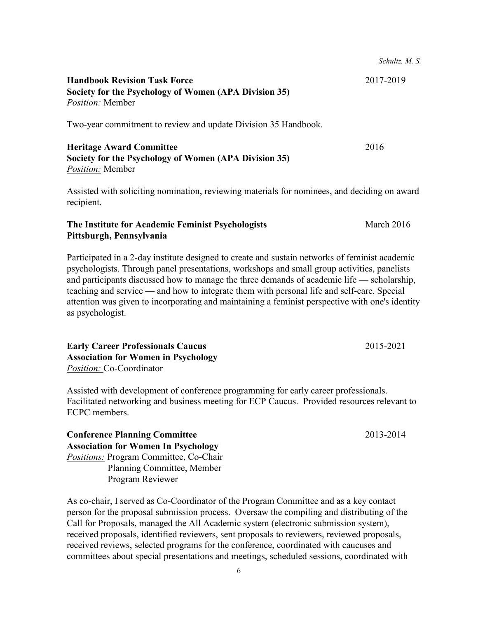Two-year commitment to review and update Division 35 Handbook.

# **Heritage Award Committee** 2016 **Society for the Psychology of Women (APA Division 35)** *Position:* Member

Assisted with soliciting nomination, reviewing materials for nominees, and deciding on award recipient.

# **The Institute for Academic Feminist Psychologists** March 2016 **Pittsburgh, Pennsylvania**

Participated in a 2-day institute designed to create and sustain networks of feminist academic psychologists. Through panel presentations, workshops and small group activities, panelists and participants discussed how to manage the three demands of academic life — scholarship, teaching and service — and how to integrate them with personal life and self-care. Special attention was given to incorporating and maintaining a feminist perspective with one's identity as psychologist.

**Early Career Professionals Caucus** 2015-2021 **Association for Women in Psychology** *Position:* Co-Coordinator

Assisted with development of conference programming for early career professionals. Facilitated networking and business meeting for ECP Caucus. Provided resources relevant to ECPC members.

# **Conference Planning Committee** 2013-2014 **Association for Women In Psychology** *Positions:* Program Committee, Co-Chair Planning Committee, Member Program Reviewer

As co-chair, I served as Co-Coordinator of the Program Committee and as a key contact person for the proposal submission process. Oversaw the compiling and distributing of the Call for Proposals, managed the All Academic system (electronic submission system), received proposals, identified reviewers, sent proposals to reviewers, reviewed proposals, received reviews, selected programs for the conference, coordinated with caucuses and committees about special presentations and meetings, scheduled sessions, coordinated with

*Schultz, M. S.*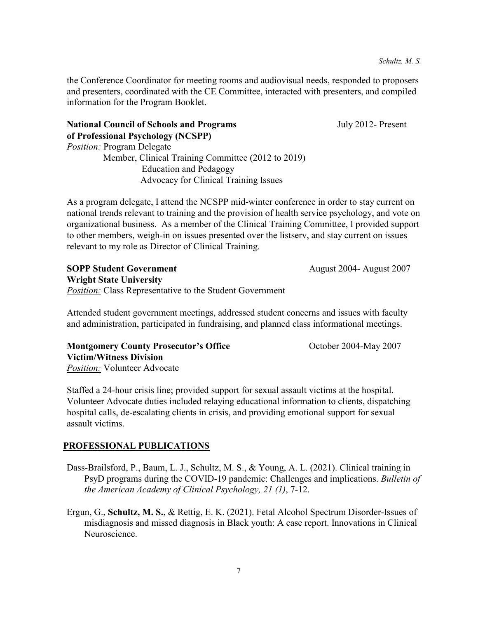the Conference Coordinator for meeting rooms and audiovisual needs, responded to proposers and presenters, coordinated with the CE Committee, interacted with presenters, and compiled information for the Program Booklet.

**National Council of Schools and Programs** *July 2012- Present* **of Professional Psychology (NCSPP)**

*Position:* Program Delegate

 Member, Clinical Training Committee (2012 to 2019) Education and Pedagogy Advocacy for Clinical Training Issues

As a program delegate, I attend the NCSPP mid-winter conference in order to stay current on national trends relevant to training and the provision of health service psychology, and vote on organizational business. As a member of the Clinical Training Committee, I provided support to other members, weigh-in on issues presented over the listserv, and stay current on issues relevant to my role as Director of Clinical Training.

**SOPP Student Government** August 2004- August 2007 **Wright State University Position:** Class Representative to the Student Government

Attended student government meetings, addressed student concerns and issues with faculty and administration, participated in fundraising, and planned class informational meetings.

**Montgomery County Prosecutor's Office The Contract Contract Contract Prosecutor's Office Contract Contract October 2004-May 2007 Victim/Witness Division** *Position:* Volunteer Advocate

Staffed a 24-hour crisis line; provided support for sexual assault victims at the hospital. Volunteer Advocate duties included relaying educational information to clients, dispatching hospital calls, de-escalating clients in crisis, and providing emotional support for sexual assault victims.

# **PROFESSIONAL PUBLICATIONS**

- Dass-Brailsford, P., Baum, L. J., Schultz, M. S., & Young, A. L. (2021). Clinical training in PsyD programs during the COVID-19 pandemic: Challenges and implications. *Bulletin of the American Academy of Clinical Psychology, 21 (1)*, 7-12.
- Ergun, G., **Schultz, M. S.**, & Rettig, E. K. (2021). Fetal Alcohol Spectrum Disorder-Issues of misdiagnosis and missed diagnosis in Black youth: A case report. Innovations in Clinical Neuroscience.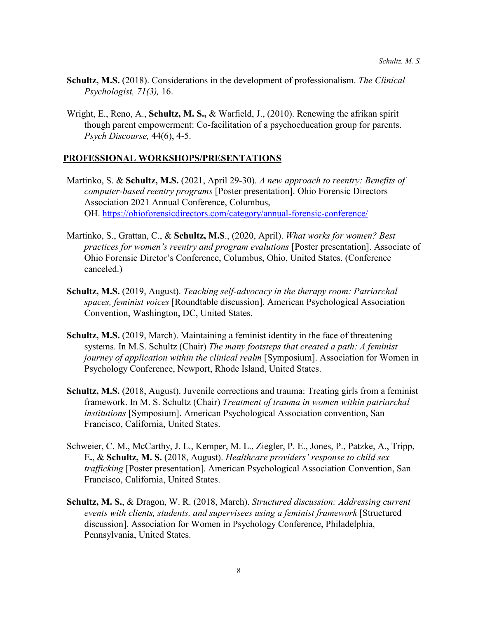- **Schultz, M.S.** (2018). Considerations in the development of professionalism. *The Clinical Psychologist, 71(3),* 16.
- Wright, E., Reno, A., **Schultz, M. S.,** & Warfield, J., (2010). Renewing the afrikan spirit though parent empowerment: Co-facilitation of a psychoeducation group for parents. *Psych Discourse,* 44(6), 4-5.

# **PROFESSIONAL WORKSHOPS/PRESENTATIONS**

- Martinko, S. & **Schultz, M.S.** (2021, April 29-30). *A new approach to reentry: Benefits of computer-based reentry programs* [Poster presentation]. Ohio Forensic Directors Association 2021 Annual Conference, Columbus, OH. [https://ohioforensicdirectors.com/category/annual-forensic-conference/](https://urldefense.com/v3/__https:/ohioforensicdirectors.com/category/annual-forensic-conference/__;!!On18fmf1aQ!knvVAb38ibjZkyoe_dz0pBgTtCJvlq4u4m6IsCHswr2F_X1p27gaQMmcOlsBiMPQmLpqtcTn$)
- Martinko, S., Grattan, C., & **Schultz, M.S**., (2020, April). *What works for women? Best practices for women's reentry and program evalutions* [Poster presentation]. Associate of Ohio Forensic Diretor's Conference, Columbus, Ohio, United States. (Conference canceled.)
- **Schultz, M.S.** (2019, August). *Teaching self-advocacy in the therapy room: Patriarchal spaces, feminist voices* [Roundtable discussion]*.* American Psychological Association Convention, Washington, DC, United States.
- **Schultz, M.S.** (2019, March). Maintaining a feminist identity in the face of threatening systems. In M.S. Schultz (Chair) *The many footsteps that created a path: A feminist journey of application within the clinical realm* [Symposium]. Association for Women in Psychology Conference, Newport, Rhode Island, United States.
- **Schultz, M.S.** (2018, August). Juvenile corrections and trauma: Treating girls from a feminist framework. In M. S. Schultz (Chair) *Treatment of trauma in women within patriarchal institutions* [Symposium]. American Psychological Association convention, San Francisco, California, United States.
- Schweier, C. M., McCarthy, J. L., Kemper, M. L., Ziegler, P. E., Jones, P., Patzke, A., Tripp, E**.**, & **Schultz, M. S.** (2018, August). *Healthcare providers' response to child sex trafficking* [Poster presentation]. American Psychological Association Convention, San Francisco, California, United States.
- **Schultz, M. S.**, & Dragon, W. R. (2018, March). *Structured discussion: Addressing current events with clients, students, and supervisees using a feminist framework* [Structured discussion]. Association for Women in Psychology Conference, Philadelphia, Pennsylvania, United States.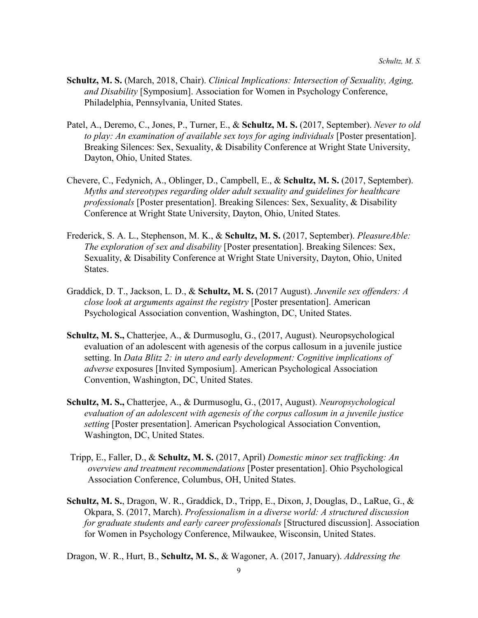- **Schultz, M. S.** (March, 2018, Chair). *Clinical Implications: Intersection of Sexuality, Aging, and Disability* [Symposium]. Association for Women in Psychology Conference, Philadelphia, Pennsylvania, United States.
- Patel, A., Deremo, C., Jones, P., Turner, E., & **Schultz, M. S.** (2017, September). *Never to old to play: An examination of available sex toys for aging individuals* [Poster presentation]. Breaking Silences: Sex, Sexuality, & Disability Conference at Wright State University, Dayton, Ohio, United States.
- Chevere, C., Fedynich, A., Oblinger, D., Campbell, E., & **Schultz, M. S.** (2017, September). *Myths and stereotypes regarding older adult sexuality and guidelines for healthcare professionals* [Poster presentation]. Breaking Silences: Sex, Sexuality, & Disability Conference at Wright State University, Dayton, Ohio, United States.
- Frederick, S. A. L., Stephenson, M. K., & **Schultz, M. S.** (2017, September). *PleasureAble: The exploration of sex and disability* [Poster presentation]. Breaking Silences: Sex, Sexuality, & Disability Conference at Wright State University, Dayton, Ohio, United States.
- Graddick, D. T., Jackson, L. D., & **Schultz, M. S.** (2017 August). *Juvenile sex offenders: A close look at arguments against the registry* [Poster presentation]. American Psychological Association convention, Washington, DC, United States.
- **Schultz, M. S.,** Chatterjee, A., & Durmusoglu, G., (2017, August). Neuropsychological evaluation of an adolescent with agenesis of the corpus callosum in a juvenile justice setting. In *Data Blitz 2: in utero and early development: Cognitive implications of adverse* exposures [Invited Symposium]. American Psychological Association Convention, Washington, DC, United States.
- **Schultz, M. S.,** Chatterjee, A., & Durmusoglu, G., (2017, August). *Neuropsychological evaluation of an adolescent with agenesis of the corpus callosum in a juvenile justice setting* [Poster presentation]. American Psychological Association Convention, Washington, DC, United States.
- Tripp, E., Faller, D., & **Schultz, M. S.** (2017, April) *Domestic minor sex trafficking: An overview and treatment recommendations* [Poster presentation]. Ohio Psychological Association Conference, Columbus, OH, United States.
- **Schultz, M. S.**, Dragon, W. R., Graddick, D., Tripp, E., Dixon, J, Douglas, D., LaRue, G., & Okpara, S. (2017, March). *Professionalism in a diverse world: A structured discussion for graduate students and early career professionals* [Structured discussion]. Association for Women in Psychology Conference, Milwaukee, Wisconsin, United States.

Dragon, W. R., Hurt, B., **Schultz, M. S.**, & Wagoner, A. (2017, January). *Addressing the*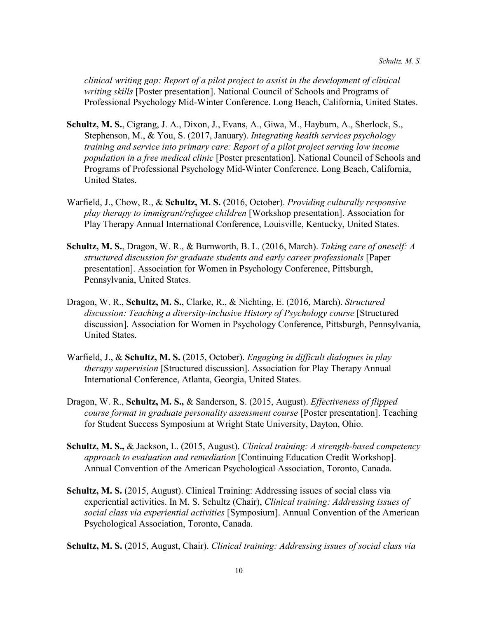*clinical writing gap: Report of a pilot project to assist in the development of clinical writing skills* [Poster presentation]. National Council of Schools and Programs of Professional Psychology Mid-Winter Conference. Long Beach, California, United States.

- **Schultz, M. S.**, Cigrang, J. A., Dixon, J., Evans, A., Giwa, M., Hayburn, A., Sherlock, S., Stephenson, M., & You, S. (2017, January). *Integrating health services psychology training and service into primary care: Report of a pilot project serving low income population in a free medical clinic* [Poster presentation]. National Council of Schools and Programs of Professional Psychology Mid-Winter Conference. Long Beach, California, United States.
- Warfield, J., Chow, R., & **Schultz, M. S.** (2016, October). *Providing culturally responsive play therapy to immigrant/refugee children* [Workshop presentation]. Association for Play Therapy Annual International Conference, Louisville, Kentucky, United States.
- **Schultz, M. S.**, Dragon, W. R., & Burnworth, B. L. (2016, March). *Taking care of oneself: A structured discussion for graduate students and early career professionals* [Paper presentation]. Association for Women in Psychology Conference, Pittsburgh, Pennsylvania, United States.
- Dragon, W. R., **Schultz, M. S.**, Clarke, R., & Nichting, E. (2016, March). *Structured discussion: Teaching a diversity-inclusive History of Psychology course* [Structured discussion]. Association for Women in Psychology Conference, Pittsburgh, Pennsylvania, United States.
- Warfield, J., & **Schultz, M. S.** (2015, October). *Engaging in difficult dialogues in play therapy supervision* [Structured discussion]. Association for Play Therapy Annual International Conference, Atlanta, Georgia, United States.
- Dragon, W. R., **Schultz, M. S.,** & Sanderson, S. (2015, August). *Effectiveness of flipped course format in graduate personality assessment course* [Poster presentation]. Teaching for Student Success Symposium at Wright State University, Dayton, Ohio.
- **Schultz, M. S.,** & Jackson, L. (2015, August). *Clinical training: A strength-based competency approach to evaluation and remediation* [Continuing Education Credit Workshop]. Annual Convention of the American Psychological Association, Toronto, Canada.
- **Schultz, M. S.** (2015, August). Clinical Training: Addressing issues of social class via experiential activities. In M. S. Schultz (Chair), *Clinical training: Addressing issues of social class via experiential activities* [Symposium]. Annual Convention of the American Psychological Association, Toronto, Canada.

**Schultz, M. S.** (2015, August, Chair). *Clinical training: Addressing issues of social class via*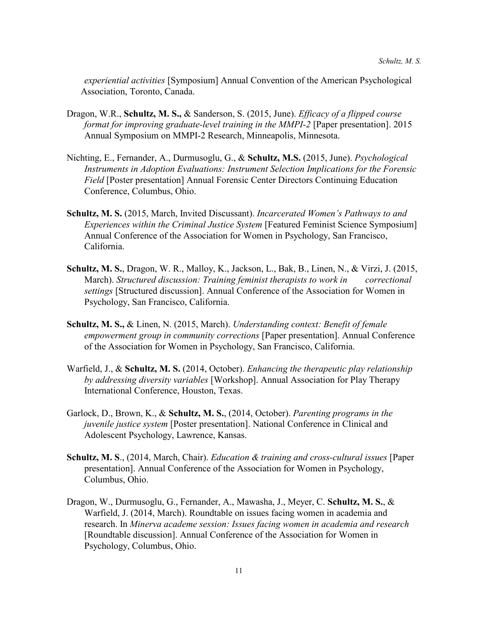*experiential activities* [Symposium] Annual Convention of the American Psychological Association, Toronto, Canada.

- Dragon, W.R., **Schultz, M. S.,** & Sanderson, S. (2015, June). *Efficacy of a flipped course format for improving graduate-level training in the MMPI-2* [Paper presentation]. 2015 Annual Symposium on MMPI-2 Research, Minneapolis, Minnesota.
- Nichting, E., Fernander, A., Durmusoglu, G., & **Schultz, M.S.** (2015, June). *Psychological Instruments in Adoption Evaluations: Instrument Selection Implications for the Forensic Field* [Poster presentation] Annual Forensic Center Directors Continuing Education Conference, Columbus, Ohio.
- **Schultz, M. S.** (2015, March, Invited Discussant). *Incarcerated Women's Pathways to and Experiences within the Criminal Justice System* [Featured Feminist Science Symposium] Annual Conference of the Association for Women in Psychology, San Francisco, California.
- **Schultz, M. S.**, Dragon, W. R., Malloy, K., Jackson, L., Bak, B., Linen, N., & Virzi, J. (2015, March). *Structured discussion: Training feminist therapists to work in correctional settings* [Structured discussion]. Annual Conference of the Association for Women in Psychology, San Francisco, California.
- **Schultz, M. S.,** & Linen, N. (2015, March). *Understanding context: Benefit of female empowerment group in community corrections* [Paper presentation]. Annual Conference of the Association for Women in Psychology, San Francisco, California.
- Warfield, J., & **Schultz, M. S.** (2014, October). *Enhancing the therapeutic play relationship by addressing diversity variables* [Workshop]. Annual Association for Play Therapy International Conference, Houston, Texas.
- Garlock, D., Brown, K., & **Schultz, M. S.**, (2014, October). *Parenting programs in the juvenile justice system* [Poster presentation]. National Conference in Clinical and Adolescent Psychology, Lawrence, Kansas.
- **Schultz, M. S**., (2014, March, Chair). *Education & training and cross-cultural issues* [Paper presentation]. Annual Conference of the Association for Women in Psychology, Columbus, Ohio.
- Dragon, W., Durmusoglu, G., Fernander, A., Mawasha, J., Meyer, C. **Schultz, M. S.**, & Warfield, J. (2014, March). Roundtable on issues facing women in academia and research. In *Minerva academe session: Issues facing women in academia and research* [Roundtable discussion]. Annual Conference of the Association for Women in Psychology, Columbus, Ohio.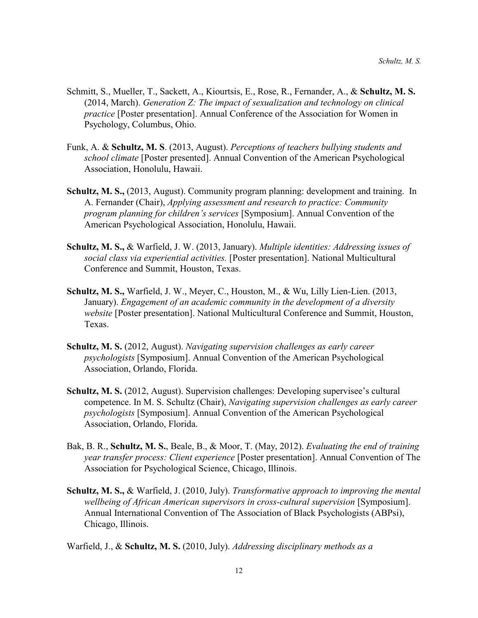- Schmitt, S., Mueller, T., Sackett, A., Kiourtsis, E., Rose, R., Fernander, A., & **Schultz, M. S.** (2014, March). *Generation Z: The impact of sexualization and technology on clinical practice* [Poster presentation]. Annual Conference of the Association for Women in Psychology, Columbus, Ohio.
- Funk, A. & **Schultz, M. S**. (2013, August). *Perceptions of teachers bullying students and school climate* [Poster presented]. Annual Convention of the American Psychological Association, Honolulu, Hawaii.
- **Schultz, M. S.,** (2013, August). Community program planning: development and training. In A. Fernander (Chair), *Applying assessment and research to practice: Community program planning for children's services* [Symposium]. Annual Convention of the American Psychological Association, Honolulu, Hawaii.
- **Schultz, M. S.,** & Warfield, J. W. (2013, January). *Multiple identities: Addressing issues of social class via experiential activities.* [Poster presentation]. National Multicultural Conference and Summit, Houston, Texas.
- **Schultz, M. S.,** Warfield, J. W., Meyer, C., Houston, M., & Wu, Lilly Lien-Lien. (2013, January). *Engagement of an academic community in the development of a diversity website* [Poster presentation]. National Multicultural Conference and Summit, Houston, Texas.
- **Schultz, M. S.** (2012, August). *Navigating supervision challenges as early career psychologists* [Symposium]. Annual Convention of the American Psychological Association, Orlando, Florida.
- **Schultz, M. S.** (2012, August). Supervision challenges: Developing supervisee's cultural competence. In M. S. Schultz (Chair), *Navigating supervision challenges as early career psychologists* [Symposium]. Annual Convention of the American Psychological Association, Orlando, Florida.
- Bak, B. R., **Schultz, M. S.**, Beale, B., & Moor, T. (May, 2012). *Evaluating the end of training year transfer process: Client experience* [Poster presentation]. Annual Convention of The Association for Psychological Science, Chicago, Illinois.
- **Schultz, M. S.,** & Warfield, J. (2010, July). *Transformative approach to improving the mental wellbeing of African American supervisors in cross-cultural supervision* [Symposium]. Annual International Convention of The Association of Black Psychologists (ABPsi), Chicago, Illinois.

Warfield, J., & **Schultz, M. S.** (2010, July). *Addressing disciplinary methods as a*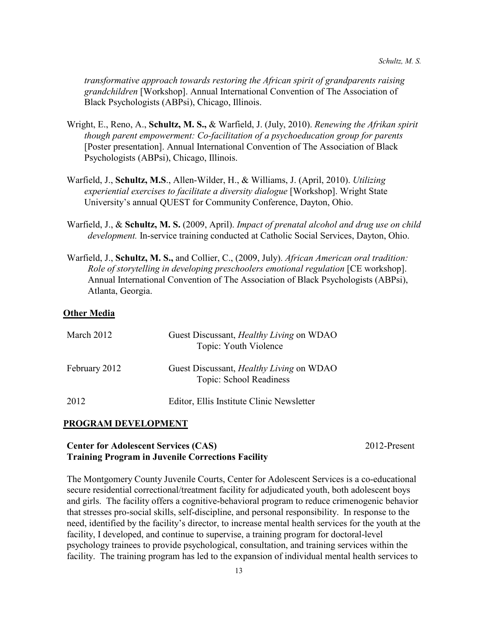*transformative approach towards restoring the African spirit of grandparents raising grandchildren* [Workshop]. Annual International Convention of The Association of Black Psychologists (ABPsi), Chicago, Illinois.

- Wright, E., Reno, A., **Schultz, M. S.,** & Warfield, J. (July, 2010). *Renewing the Afrikan spirit though parent empowerment: Co-facilitation of a psychoeducation group for parents* [Poster presentation]. Annual International Convention of The Association of Black Psychologists (ABPsi), Chicago, Illinois.
- Warfield, J., **Schultz, M.S**., Allen-Wilder, H., & Williams, J. (April, 2010). *Utilizing experiential exercises to facilitate a diversity dialogue* [Workshop]. Wright State University's annual QUEST for Community Conference, Dayton, Ohio.
- Warfield, J., & **Schultz, M. S.** (2009, April). *Impact of prenatal alcohol and drug use on child development.* In-service training conducted at Catholic Social Services, Dayton, Ohio.
- Warfield, J., **Schultz, M. S.,** and Collier, C., (2009, July). *African American oral tradition: Role of storytelling in developing preschoolers emotional regulation* [CE workshop]. Annual International Convention of The Association of Black Psychologists (ABPsi), Atlanta, Georgia.

### **Other Media**

| March 2012    | Guest Discussant, <i>Healthy Living</i> on WDAO<br>Topic: Youth Violence   |
|---------------|----------------------------------------------------------------------------|
| February 2012 | Guest Discussant, <i>Healthy Living</i> on WDAO<br>Topic: School Readiness |
| 2012          | Editor, Ellis Institute Clinic Newsletter                                  |

### **PROGRAM DEVELOPMENT**

# **Center for Adolescent Services (CAS)** 2012-Present **Training Program in Juvenile Corrections Facility**

The Montgomery County Juvenile Courts, Center for Adolescent Services is a co-educational secure residential correctional/treatment facility for adjudicated youth, both adolescent boys and girls. The facility offers a cognitive-behavioral program to reduce crimenogenic behavior that stresses pro-social skills, self-discipline, and personal responsibility. In response to the need, identified by the facility's director, to increase mental health services for the youth at the facility, I developed, and continue to supervise, a training program for doctoral-level psychology trainees to provide psychological, consultation, and training services within the facility. The training program has led to the expansion of individual mental health services to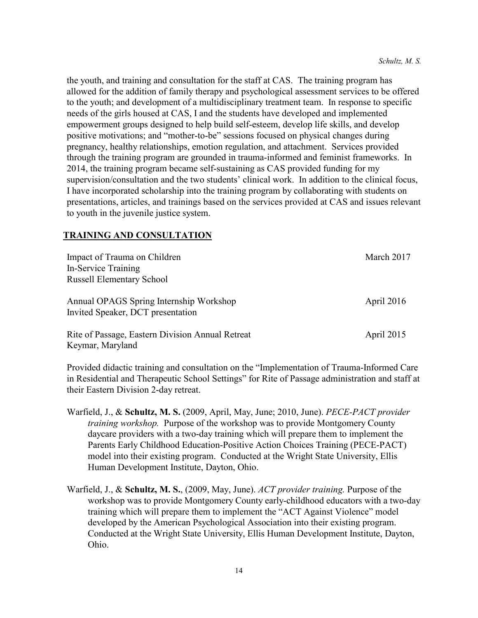the youth, and training and consultation for the staff at CAS. The training program has allowed for the addition of family therapy and psychological assessment services to be offered to the youth; and development of a multidisciplinary treatment team. In response to specific needs of the girls housed at CAS, I and the students have developed and implemented empowerment groups designed to help build self-esteem, develop life skills, and develop positive motivations; and "mother-to-be" sessions focused on physical changes during pregnancy, healthy relationships, emotion regulation, and attachment. Services provided through the training program are grounded in trauma-informed and feminist frameworks. In 2014, the training program became self-sustaining as CAS provided funding for my supervision/consultation and the two students' clinical work. In addition to the clinical focus, I have incorporated scholarship into the training program by collaborating with students on presentations, articles, and trainings based on the services provided at CAS and issues relevant to youth in the juvenile justice system.

### **TRAINING AND CONSULTATION**

| Impact of Trauma on Children                     | March 2017   |
|--------------------------------------------------|--------------|
| In-Service Training                              |              |
| <b>Russell Elementary School</b>                 |              |
| Annual OPAGS Spring Internship Workshop          | April $2016$ |
| Invited Speaker, DCT presentation                |              |
| Rite of Passage, Eastern Division Annual Retreat | April 2015   |
| Keymar, Maryland                                 |              |

Provided didactic training and consultation on the "Implementation of Trauma-Informed Care in Residential and Therapeutic School Settings" for Rite of Passage administration and staff at their Eastern Division 2-day retreat.

- Warfield, J., & **Schultz, M. S.** (2009, April, May, June; 2010, June). *PECE-PACT provider training workshop.* Purpose of the workshop was to provide Montgomery County daycare providers with a two-day training which will prepare them to implement the Parents Early Childhood Education-Positive Action Choices Training (PECE-PACT) model into their existing program. Conducted at the Wright State University, Ellis Human Development Institute, Dayton, Ohio.
- Warfield, J., & **Schultz, M. S.**, (2009, May, June). *ACT provider training.* Purpose of the workshop was to provide Montgomery County early-childhood educators with a two-day training which will prepare them to implement the "ACT Against Violence" model developed by the American Psychological Association into their existing program. Conducted at the Wright State University, Ellis Human Development Institute, Dayton, Ohio.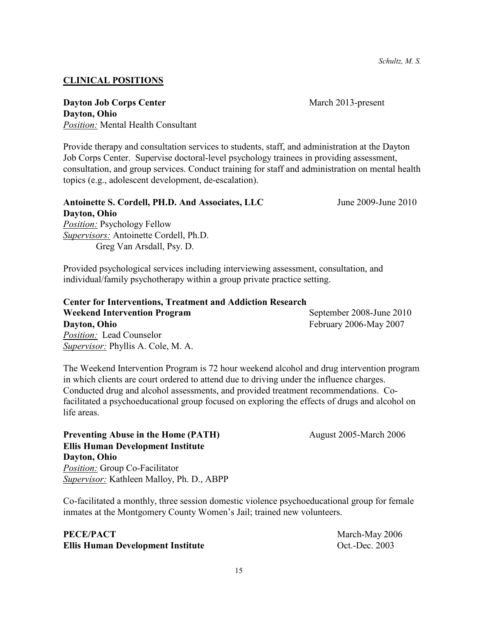*Schultz, M. S.*

#### **CLINICAL POSITIONS**

**Dayton Job Corps Center** March 2013-present **Dayton, Ohio** *Position:* Mental Health Consultant

Provide therapy and consultation services to students, staff, and administration at the Dayton Job Corps Center. Supervise doctoral-level psychology trainees in providing assessment, consultation, and group services. Conduct training for staff and administration on mental health topics (e.g., adolescent development, de-escalation).

# **Antoinette S. Cordell, PH.D. And Associates, LLC** June 2009-June 2010

**Dayton, Ohio** *Position:* Psychology Fellow *Supervisors:* Antoinette Cordell, Ph.D. Greg Van Arsdall, Psy. D.

Provided psychological services including interviewing assessment, consultation, and individual/family psychotherapy within a group private practice setting.

**Center for Interventions, Treatment and Addiction Research Weekend Intervention Program** September 2008-June 2010 **Dayton, Ohio** February 2006-May 2007 *Position:* Lead Counselor *Supervisor:* Phyllis A. Cole, M. A.

The Weekend Intervention Program is 72 hour weekend alcohol and drug intervention program in which clients are court ordered to attend due to driving under the influence charges. Conducted drug and alcohol assessments, and provided treatment recommendations. Cofacilitated a psychoeducational group focused on exploring the effects of drugs and alcohol on life areas.

**Preventing Abuse in the Home (PATH)** August 2005-March 2006 **Ellis Human Development Institute Dayton, Ohio** *Position:* Group Co-Facilitator *Supervisor:* Kathleen Malloy, Ph. D., ABPP

Co-facilitated a monthly, three session domestic violence psychoeducational group for female inmates at the Montgomery County Women's Jail; trained new volunteers.

# **PECE/PACT** March-May 2006 **Ellis Human Development Institute** Oct.-Dec. 2003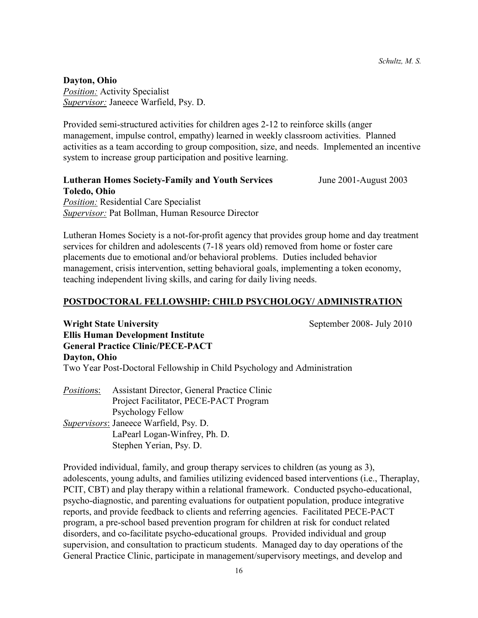#### **Dayton, Ohio**

*Position:* Activity Specialist *Supervisor:* Janeece Warfield, Psy. D.

Provided semi-structured activities for children ages 2-12 to reinforce skills (anger management, impulse control, empathy) learned in weekly classroom activities. Planned activities as a team according to group composition, size, and needs. Implemented an incentive system to increase group participation and positive learning.

### **Lutheran Homes Society-Family and Youth Services** June 2001-August 2003 **Toledo, Ohio** *Position:* Residential Care Specialist *Supervisor:* Pat Bollman, Human Resource Director

Lutheran Homes Society is a not-for-profit agency that provides group home and day treatment services for children and adolescents (7-18 years old) removed from home or foster care placements due to emotional and/or behavioral problems. Duties included behavior management, crisis intervention, setting behavioral goals, implementing a token economy, teaching independent living skills, and caring for daily living needs.

### **POSTDOCTORAL FELLOWSHIP: CHILD PSYCHOLOGY/ ADMINISTRATION**

**Wright State University** September 2008- July 2010

**Ellis Human Development Institute General Practice Clinic/PECE-PACT Dayton, Ohio** Two Year Post-Doctoral Fellowship in Child Psychology and Administration

*Position*s: Assistant Director, General Practice Clinic Project Facilitator, PECE-PACT Program Psychology Fellow *Supervisors*: Janeece Warfield, Psy. D. LaPearl Logan-Winfrey, Ph. D. Stephen Yerian, Psy. D.

Provided individual, family, and group therapy services to children (as young as 3), adolescents, young adults, and families utilizing evidenced based interventions (i.e., Theraplay, PCIT, CBT) and play therapy within a relational framework. Conducted psycho-educational, psycho-diagnostic, and parenting evaluations for outpatient population, produce integrative reports, and provide feedback to clients and referring agencies. Facilitated PECE-PACT program, a pre-school based prevention program for children at risk for conduct related disorders, and co-facilitate psycho-educational groups. Provided individual and group supervision, and consultation to practicum students. Managed day to day operations of the General Practice Clinic, participate in management/supervisory meetings, and develop and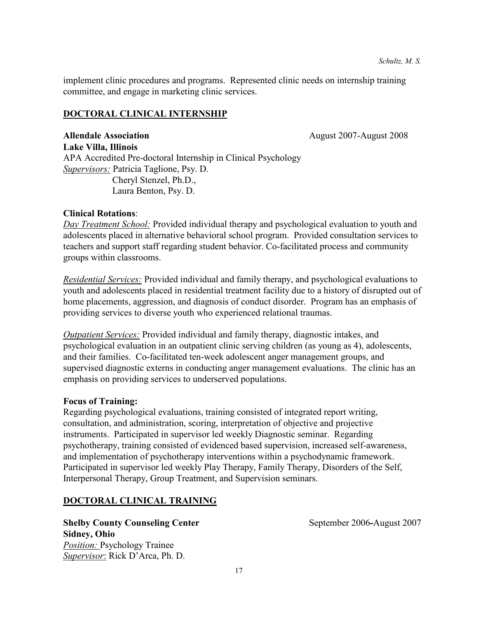implement clinic procedures and programs. Represented clinic needs on internship training committee, and engage in marketing clinic services.

# **DOCTORAL CLINICAL INTERNSHIP**

**Allendale Association August 2007-August 2008 Lake Villa, Illinois** APA Accredited Pre-doctoral Internship in Clinical Psychology *Supervisors:* Patricia Taglione, Psy. D. Cheryl Stenzel, Ph.D., Laura Benton, Psy. D.

# **Clinical Rotations**:

*Day Treatment School:* Provided individual therapy and psychological evaluation to youth and adolescents placed in alternative behavioral school program. Provided consultation services to teachers and support staff regarding student behavior. Co-facilitated process and community groups within classrooms.

*Residential Services:* Provided individual and family therapy, and psychological evaluations to youth and adolescents placed in residential treatment facility due to a history of disrupted out of home placements, aggression, and diagnosis of conduct disorder. Program has an emphasis of providing services to diverse youth who experienced relational traumas.

*Outpatient Services:* Provided individual and family therapy, diagnostic intakes, and psychological evaluation in an outpatient clinic serving children (as young as 4), adolescents, and their families. Co-facilitated ten-week adolescent anger management groups, and supervised diagnostic externs in conducting anger management evaluations. The clinic has an emphasis on providing services to underserved populations.

### **Focus of Training:**

Regarding psychological evaluations, training consisted of integrated report writing, consultation, and administration, scoring, interpretation of objective and projective instruments. Participated in supervisor led weekly Diagnostic seminar. Regarding psychotherapy, training consisted of evidenced based supervision, increased self-awareness, and implementation of psychotherapy interventions within a psychodynamic framework. Participated in supervisor led weekly Play Therapy, Family Therapy, Disorders of the Self, Interpersonal Therapy, Group Treatment, and Supervision seminars.

# **DOCTORAL CLINICAL TRAINING**

**Shelby County Counseling Center September 2006-August 2007 Sidney, Ohio** *Position:* Psychology Trainee *Supervisor*: Rick D'Arca, Ph. D.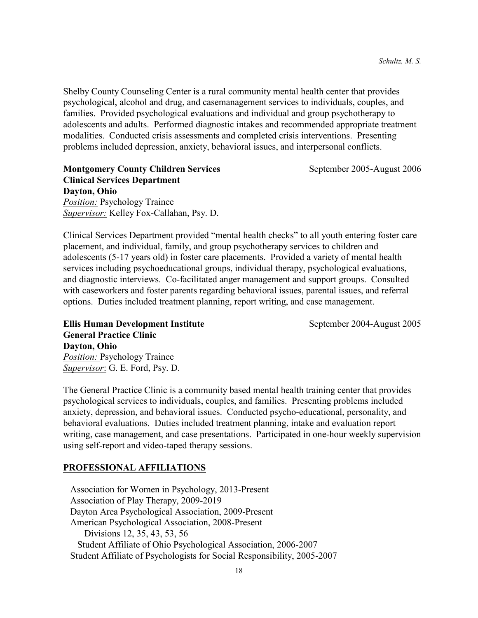Shelby County Counseling Center is a rural community mental health center that provides psychological, alcohol and drug, and casemanagement services to individuals, couples, and families. Provided psychological evaluations and individual and group psychotherapy to adolescents and adults. Performed diagnostic intakes and recommended appropriate treatment modalities. Conducted crisis assessments and completed crisis interventions. Presenting problems included depression, anxiety, behavioral issues, and interpersonal conflicts.

**Montgomery County Children Services** September 2005-August 2006 **Clinical Services Department Dayton, Ohio** *Position:* Psychology Trainee *Supervisor:* Kelley Fox-Callahan, Psy. D.

Clinical Services Department provided "mental health checks" to all youth entering foster care placement, and individual, family, and group psychotherapy services to children and adolescents (5-17 years old) in foster care placements. Provided a variety of mental health services including psychoeducational groups, individual therapy, psychological evaluations, and diagnostic interviews. Co-facilitated anger management and support groups. Consulted with caseworkers and foster parents regarding behavioral issues, parental issues, and referral options. Duties included treatment planning, report writing, and case management.

**Ellis Human Development Institute** September 2004-August 2005 **General Practice Clinic Dayton, Ohio** *Position:* Psychology Trainee *Supervisor*: G. E. Ford, Psy. D.

The General Practice Clinic is a community based mental health training center that provides psychological services to individuals, couples, and families. Presenting problems included anxiety, depression, and behavioral issues. Conducted psycho-educational, personality, and behavioral evaluations. Duties included treatment planning, intake and evaluation report writing, case management, and case presentations. Participated in one-hour weekly supervision using self-report and video-taped therapy sessions.

### **PROFESSIONAL AFFILIATIONS**

 Association for Women in Psychology, 2013-Present Association of Play Therapy, 2009-2019 Dayton Area Psychological Association, 2009-Present American Psychological Association, 2008-Present Divisions 12, 35, 43, 53, 56 Student Affiliate of Ohio Psychological Association, 2006-2007 Student Affiliate of Psychologists for Social Responsibility, 2005-2007